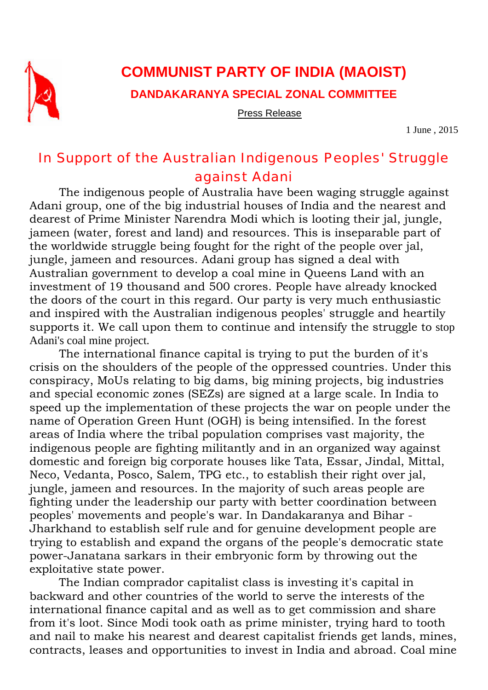

## **COMMUNIST PARTY OF INDIA (MAOIST)**

**DANDAKARANYA SPECIAL ZONAL COMMITTEE** 

Press Release

1 June , 2015

## In Support of the Australian Indigenous Peoples' Struggle against Adani

The indigenous people of Australia have been waging struggle against Adani group, one of the big industrial houses of India and the nearest and dearest of Prime Minister Narendra Modi which is looting their jal, jungle, jameen (water, forest and land) and resources. This is inseparable part of the worldwide struggle being fought for the right of the people over jal, jungle, jameen and resources. Adani group has signed a deal with Australian government to develop a coal mine in Queens Land with an investment of 19 thousand and 500 crores. People have already knocked the doors of the court in this regard. Our party is very much enthusiastic and inspired with the Australian indigenous peoples' struggle and heartily supports it. We call upon them to continue and intensify the struggle to stop Adani's coal mine project.

The international finance capital is trying to put the burden of it's crisis on the shoulders of the people of the oppressed countries. Under this conspiracy, MoUs relating to big dams, big mining projects, big industries and special economic zones (SEZs) are signed at a large scale. In India to speed up the implementation of these projects the war on people under the name of Operation Green Hunt (OGH) is being intensified. In the forest areas of India where the tribal population comprises vast majority, the indigenous people are fighting militantly and in an organized way against domestic and foreign big corporate houses like Tata, Essar, Jindal, Mittal, Neco, Vedanta, Posco, Salem, TPG etc., to establish their right over jal, jungle, jameen and resources. In the majority of such areas people are fighting under the leadership our party with better coordination between peoples' movements and people's war. In Dandakaranya and Bihar - Jharkhand to establish self rule and for genuine development people are trying to establish and expand the organs of the people's democratic state power-Janatana sarkars in their embryonic form by throwing out the exploitative state power.

The Indian comprador capitalist class is investing it's capital in backward and other countries of the world to serve the interests of the international finance capital and as well as to get commission and share from it's loot. Since Modi took oath as prime minister, trying hard to tooth and nail to make his nearest and dearest capitalist friends get lands, mines, contracts, leases and opportunities to invest in India and abroad. Coal mine